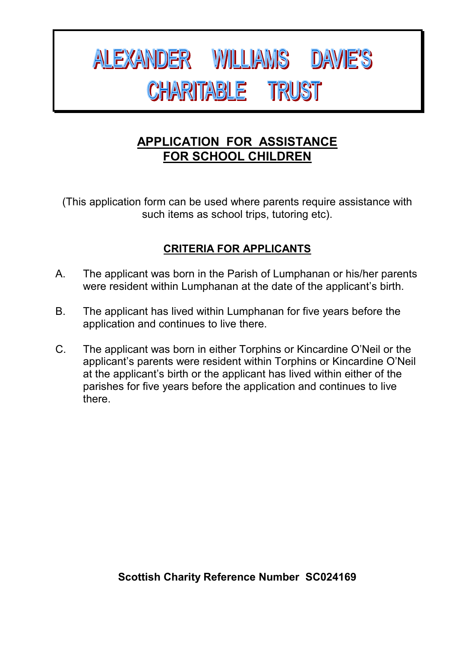# ALEXANDER WILLIAMS DAVIE'S **CHARITABLE TRUST**

# **APPLICATION FOR ASSISTANCE FOR SCHOOL CHILDREN**

(This application form can be used where parents require assistance with such items as school trips, tutoring etc).

## **CRITERIA FOR APPLICANTS**

- A. The applicant was born in the Parish of Lumphanan or his/her parents were resident within Lumphanan at the date of the applicant's birth.
- B. The applicant has lived within Lumphanan for five years before the application and continues to live there.
- C. The applicant was born in either Torphins or Kincardine O'Neil or the applicant's parents were resident within Torphins or Kincardine O'Neil at the applicant's birth or the applicant has lived within either of the parishes for five years before the application and continues to live there.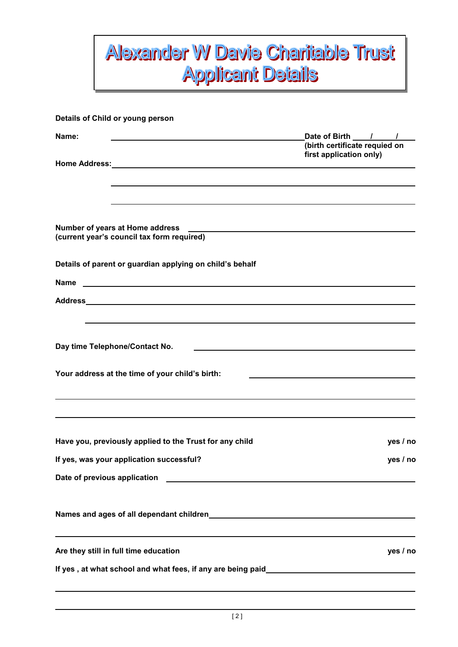# **Alexander W Davie Charitable Trust Applicant Details**

| Details of Child or young person                                                                                                                                                                      |                                                    |  |
|-------------------------------------------------------------------------------------------------------------------------------------------------------------------------------------------------------|----------------------------------------------------|--|
| Name:                                                                                                                                                                                                 | Date of Birth / /<br>(birth certificate requied on |  |
| Home Address: National Property of the Address of the Address of the Address of the Address of the Address of the A                                                                                   | first application only)                            |  |
|                                                                                                                                                                                                       |                                                    |  |
| Number of years at Home address<br><u> 1980 - Johann Stein, marwolaethau a bhann an t-Amhain an t-Amhain an t-Amhain an t-Amhain an t-Amhain an t-A</u><br>(current year's council tax form required) |                                                    |  |
| Details of parent or guardian applying on child's behalf                                                                                                                                              |                                                    |  |
| <u> 1980 - John Stone, amerikansk politiker (</u><br><b>Name</b>                                                                                                                                      |                                                    |  |
|                                                                                                                                                                                                       |                                                    |  |
| Day time Telephone/Contact No.<br>Your address at the time of your child's birth:                                                                                                                     |                                                    |  |
|                                                                                                                                                                                                       |                                                    |  |
| Have you, previously applied to the Trust for any child                                                                                                                                               | yes / no                                           |  |
| If yes, was your application successful?                                                                                                                                                              | yes / no                                           |  |
|                                                                                                                                                                                                       |                                                    |  |
|                                                                                                                                                                                                       |                                                    |  |
| Are they still in full time education                                                                                                                                                                 | yes / no                                           |  |
| If yes , at what school and what fees, if any are being paid___________________________                                                                                                               |                                                    |  |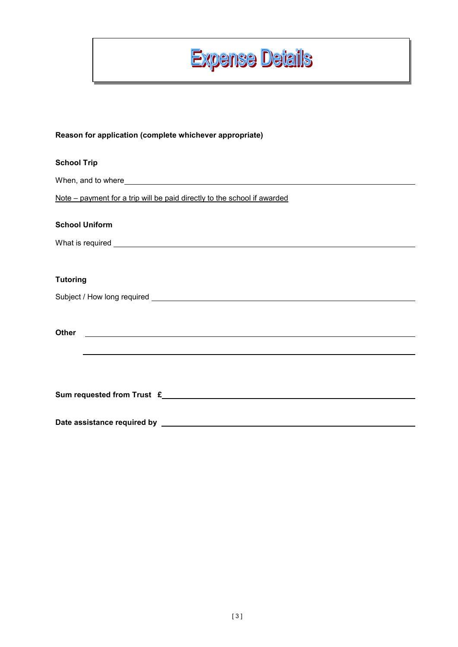

#### **Reason for application (complete whichever appropriate)**

| <b>School Trip</b>                                                                                                                                                                                                                                   |
|------------------------------------------------------------------------------------------------------------------------------------------------------------------------------------------------------------------------------------------------------|
|                                                                                                                                                                                                                                                      |
| Note – payment for a trip will be paid directly to the school if awarded                                                                                                                                                                             |
| <b>School Uniform</b>                                                                                                                                                                                                                                |
|                                                                                                                                                                                                                                                      |
| <b>Tutoring</b>                                                                                                                                                                                                                                      |
|                                                                                                                                                                                                                                                      |
| <b>Other</b><br><u>and the state of the state of the state of the state of the state of the state of the state of the state of the state of the state of the state of the state of the state of the state of the state of the state of the state</u> |
| Sum requested from Trust £                                                                                                                                                                                                                           |
|                                                                                                                                                                                                                                                      |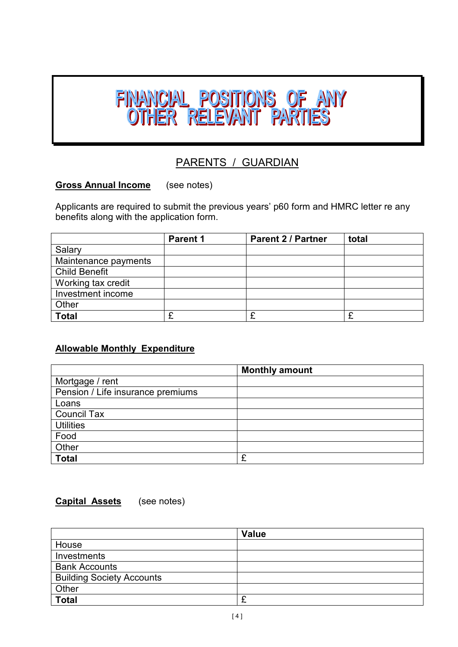

### PARENTS / GUARDIAN

### **Gross Annual Income** (see notes)

Applicants are required to submit the previous years' p60 form and HMRC letter re any benefits along with the application form.

|                      | <b>Parent 1</b> | <b>Parent 2 / Partner</b> | total |
|----------------------|-----------------|---------------------------|-------|
| Salary               |                 |                           |       |
| Maintenance payments |                 |                           |       |
| <b>Child Benefit</b> |                 |                           |       |
| Working tax credit   |                 |                           |       |
| Investment income    |                 |                           |       |
| Other                |                 |                           |       |
| <b>Total</b>         |                 |                           | £     |

### **Allowable Monthly Expenditure**

|                                   | <b>Monthly amount</b> |
|-----------------------------------|-----------------------|
| Mortgage / rent                   |                       |
| Pension / Life insurance premiums |                       |
| Loans                             |                       |
| <b>Council Tax</b>                |                       |
| <b>Utilities</b>                  |                       |
| Food                              |                       |
| Other                             |                       |
| <b>Total</b>                      | £                     |

#### **Capital Assets** (see notes)

|                                  | <b>Value</b> |
|----------------------------------|--------------|
| House                            |              |
| Investments                      |              |
| <b>Bank Accounts</b>             |              |
| <b>Building Society Accounts</b> |              |
| Other                            |              |
| <b>Total</b>                     | r<br>~       |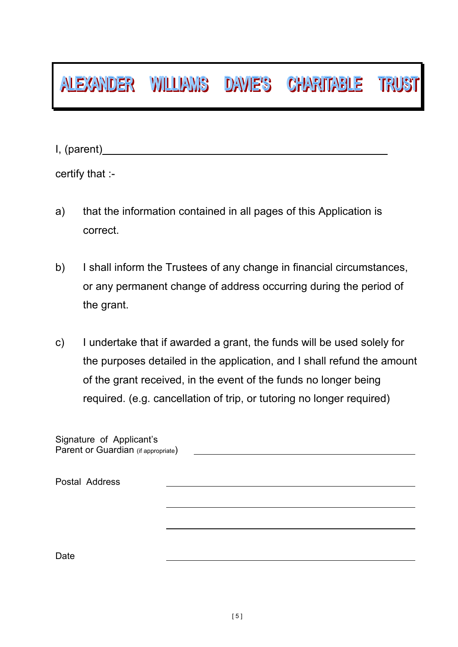# ALEXANDER WILLIAMS DAVIE'S CHARITABLE TRUST

I, (parent)

certify that :-

- a) that the information contained in all pages of this Application is correct.
- b) I shall inform the Trustees of any change in financial circumstances, or any permanent change of address occurring during the period of the grant.
- c) I undertake that if awarded a grant, the funds will be used solely for the purposes detailed in the application, and I shall refund the amount of the grant received, in the event of the funds no longer being required. (e.g. cancellation of trip, or tutoring no longer required)

Signature of Applicant's Parent or Guardian (if appropriate)

Postal Address Date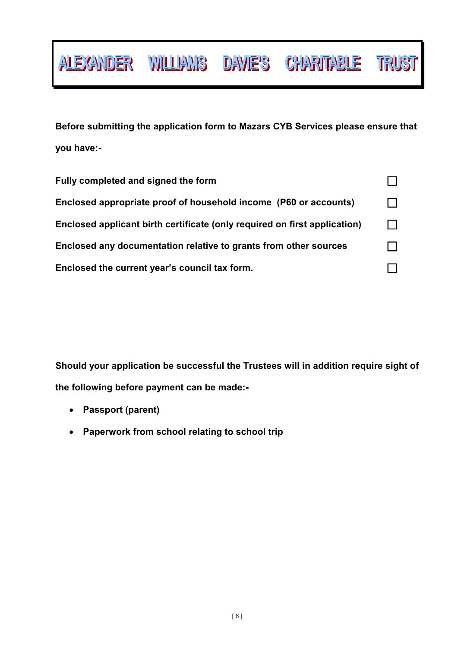**Before submitting the application form to Mazars CYB Services please ensure that you have:-** 

ALEXANDER WILLIAMS DAVIE'S CHARITABLE TRUST

| Fully completed and signed the form                                       |  |
|---------------------------------------------------------------------------|--|
| Enclosed appropriate proof of household income (P60 or accounts)          |  |
| Enclosed applicant birth certificate (only required on first application) |  |
| Enclosed any documentation relative to grants from other sources          |  |
| Enclosed the current year's council tax form.                             |  |

**Should your application be successful the Trustees will in addition require sight of the following before payment can be made:-** 

- **Passport (parent)**
- **Paperwork from school relating to school trip**